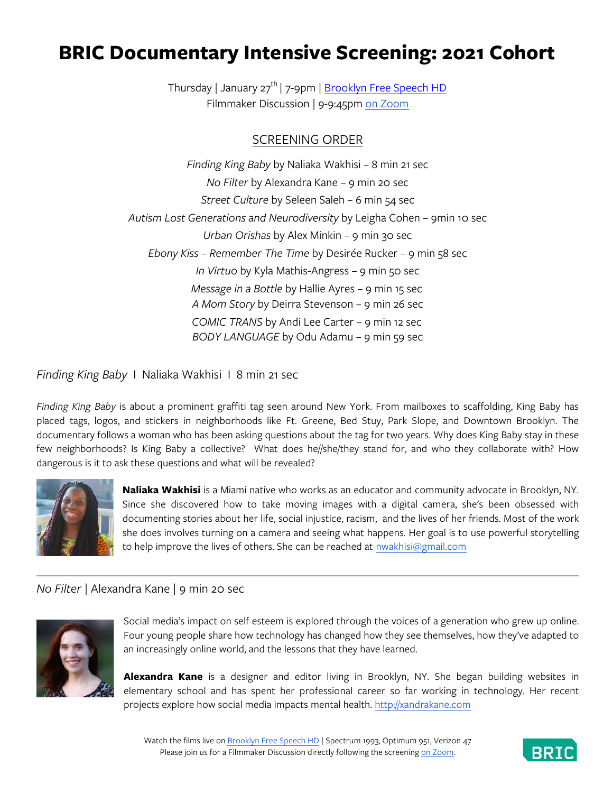# **BRIC Documentary Intensive Screening: 2021 Cohort**

Thursday | January 27<sup>th</sup> | 7-9pm | <u>Brooklyn Free Speech HD</u> Filmmaker Discussion | 9-9:45pm on Zoom

# SCREENING ORDER

*Finding King Baby* by Naliaka Wakhisi – 8 min 21 sec *No Filter* by Alexandra Kane – 9 min 20 sec *Street Culture* by Seleen Saleh – 6 min 54 sec *Autism Lost Generations and Neurodiversity* by Leigha Cohen – 9min 10 sec *Urban Orishas* by Alex Minkin – 9 min 30 sec *Ebony Kiss – Remember The Time* by Desirée Rucker – 9 min 58 sec *In Virtuo* by Kyla Mathis-Angress – 9 min 50 sec *Message in a Bottle* by Hallie Ayres – 9 min 15 sec *A Mom Story* by Deirra Stevenson – 9 min 26 sec *COMIC TRANS* by Andi Lee Carter – 9 min 12 sec *BODY LANGUAGE* by Odu Adamu – 9 min 59 sec

*Finding King Baby* I Naliaka Wakhisi I 8 min 21 sec

*Finding King Baby* is about a prominent graffiti tag seen around New York. From mailboxes to scaffolding, King Baby has placed tags, logos, and stickers in neighborhoods like Ft. Greene, Bed Stuy, Park Slope, and Downtown Brooklyn. The documentary follows a woman who has been asking questions about the tag for two years. Why does King Baby stay in these few neighborhoods? Is King Baby a collective? What does he//she/they stand for, and who they collaborate with? How dangerous is it to ask these questions and what will be revealed?



**Naliaka Wakhisi** is a Miami native who works as an educator and community advocate in Brooklyn, NY. Since she discovered how to take moving images with a digital camera, she's been obsessed with documenting stories about her life, social injustice, racism, and the lives of her friends. Most of the work she does involves turning on a camera and seeing what happens. Her goal is to use powerful storytelling to help improve the lives of others. She can be reached at nwakhisi@gmail.com

# *No Filter* | Alexandra Kane | 9 min 20 sec



Social media's impact on self esteem is explored through the voices of a generation who grew up online. Four young people share how technology has changed how they see themselves, how they've adapted to an increasingly online world, and the lessons that they have learned.

**Alexandra Kane** is a designer and editor living in Brooklyn, NY. She began building websites in elementary school and has spent her professional career so far working in technology. Her recent projects explore how social media impacts mental health. http://xandrakane.com

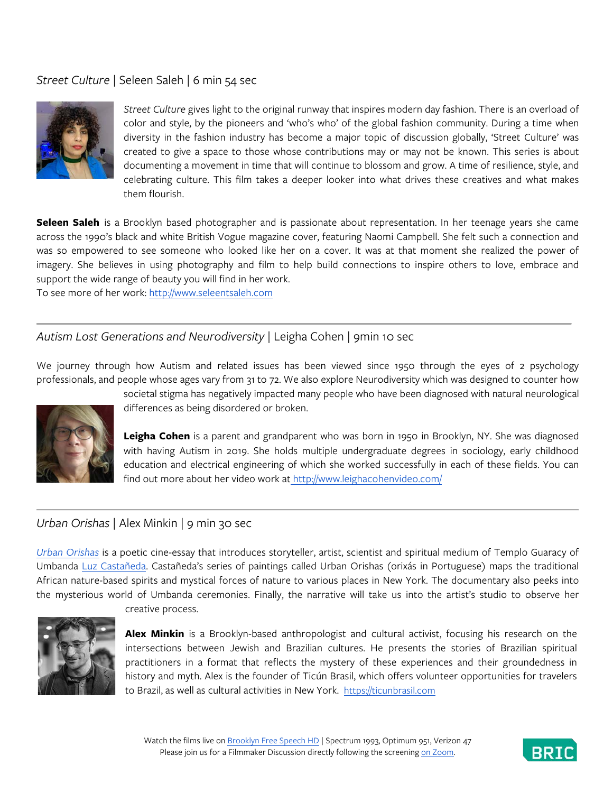# *Street Culture* | Seleen Saleh | 6 min 54 sec



*Street Culture* gives light to the original runway that inspires modern day fashion. There is an overload of color and style, by the pioneers and 'who's who' of the global fashion community. During a time when diversity in the fashion industry has become a major topic of discussion globally, 'Street Culture' was created to give a space to those whose contributions may or may not be known. This series is about documenting a movement in time that will continue to blossom and grow. A time of resilience, style, and celebrating culture. This film takes a deeper looker into what drives these creatives and what makes them flourish.

**Seleen Saleh** is a Brooklyn based photographer and is passionate about representation. In her teenage years she came across the 1990's black and white British Vogue magazine cover, featuring Naomi Campbell. She felt such a connection and was so empowered to see someone who looked like her on a cover. It was at that moment she realized the power of imagery. She believes in using photography and film to help build connections to inspire others to love, embrace and support the wide range of beauty you will find in her work.

To see more of her work: http://www.seleentsaleh.com

# *Autism Lost Generations and Neurodiversity* | Leigha Cohen | 9min 10 sec

We journey through how Autism and related issues has been viewed since 1950 through the eyes of 2 psychology professionals, and people whose ages vary from 31 to 72. We also explore Neurodiversity which was designed to counter how



societal stigma has negatively impacted many people who have been diagnosed with natural neurological differences as being disordered or broken.

**Leigha Cohen** is a parent and grandparent who was born in 1950 in Brooklyn, NY. She was diagnosed with having Autism in 2019. She holds multiple undergraduate degrees in sociology, early childhood education and electrical engineering of which she worked successfully in each of these fields. You can find out more about her video work at http://www.leighacohenvideo.com/

#### *Urban Orishas* | Alex Minkin | 9 min 30 sec

*Urban Orishas* is a poetic cine-essay that introduces storyteller, artist, scientist and spiritual medium of Templo Guaracy of Umbanda Luz Castañeda. Castañeda's series of paintings called Urban Orishas (orixás in Portuguese) maps the traditional African nature-based spirits and mystical forces of nature to various places in New York. The documentary also peeks into the mysterious world of Umbanda ceremonies. Finally, the narrative will take us into the artist's studio to observe her



creative process.

**Alex Minkin** is a Brooklyn-based anthropologist and cultural activist, focusing his research on the intersections between Jewish and Brazilian cultures. He presents the stories of Brazilian spiritual practitioners in a format that reflects the mystery of these experiences and their groundedness in history and myth. Alex is the founder of Ticún Brasil, which offers volunteer opportunities for travelers to Brazil, as well as cultural activities in New York. https://ticunbrasil.com

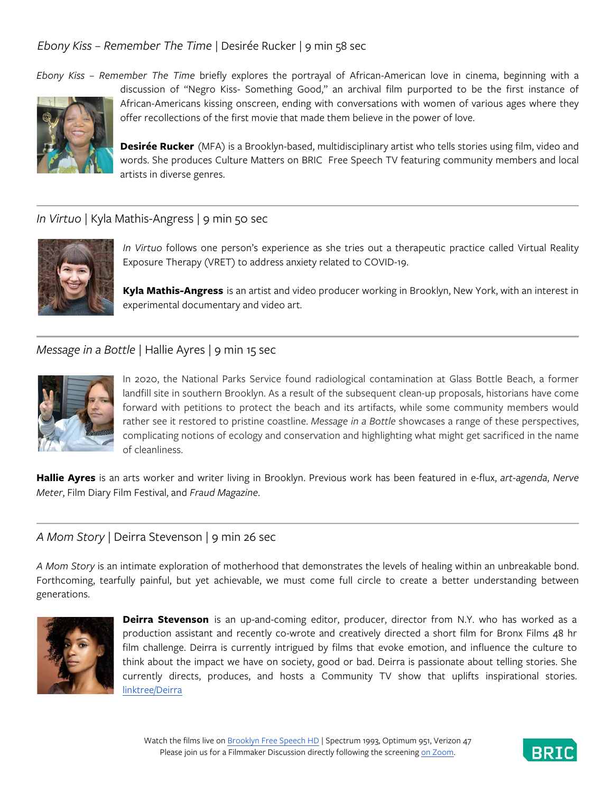# *Ebony Kiss – Remember The Time* | Desirée Rucker | 9 min 58 sec

*Ebony Kiss – Remember The Time* briefly explores the portrayal of African-American love in cinema, beginning with a



discussion of "Negro Kiss- Something Good," an archival film purported to be the first instance of African-Americans kissing onscreen, ending with conversations with women of various ages where they offer recollections of the first movie that made them believe in the power of love.

**Desirée Rucker** (MFA) is a Brooklyn-based, multidisciplinary artist who tells stories using film, video and words. She produces Culture Matters on BRIC Free Speech TV featuring community members and local artists in diverse genres.

#### *In Virtuo* | Kyla Mathis-Angress | 9 min 50 sec



*In Virtuo* follows one person's experience as she tries out a therapeutic practice called Virtual Reality Exposure Therapy (VRET) to address anxiety related to COVID-19.

**Kyla Mathis-Angress** is an artist and video producer working in Brooklyn, New York, with an interest in experimental documentary and video art.

#### *Message in a Bottle* | Hallie Ayres | 9 min 15 sec



In 2020, the National Parks Service found radiological contamination at Glass Bottle Beach, a former landfill site in southern Brooklyn. As a result of the subsequent clean-up proposals, historians have come forward with petitions to protect the beach and its artifacts, while some community members would rather see it restored to pristine coastline. *Message in a Bottle* showcases a range of these perspectives, complicating notions of ecology and conservation and highlighting what might get sacrificed in the name of cleanliness.

**Hallie Ayres** is an arts worker and writer living in Brooklyn. Previous work has been featured in e-flux, *art-agenda*, *Nerve Meter*, Film Diary Film Festival, and *Fraud Magazine*.

#### *A Mom Story* | Deirra Stevenson | 9 min 26 sec

*A Mom Story* is an intimate exploration of motherhood that demonstrates the levels of healing within an unbreakable bond. Forthcoming, tearfully painful, but yet achievable, we must come full circle to create a better understanding between generations.



**Deirra Stevenson** is an up-and-coming editor, producer, director from N.Y. who has worked as a production assistant and recently co-wrote and creatively directed a short film for Bronx Films 48 hr film challenge. Deirra is currently intrigued by films that evoke emotion, and influence the culture to think about the impact we have on society, good or bad. Deirra is passionate about telling stories. She currently directs, produces, and hosts a Community TV show that uplifts inspirational stories. linktree/Deirra